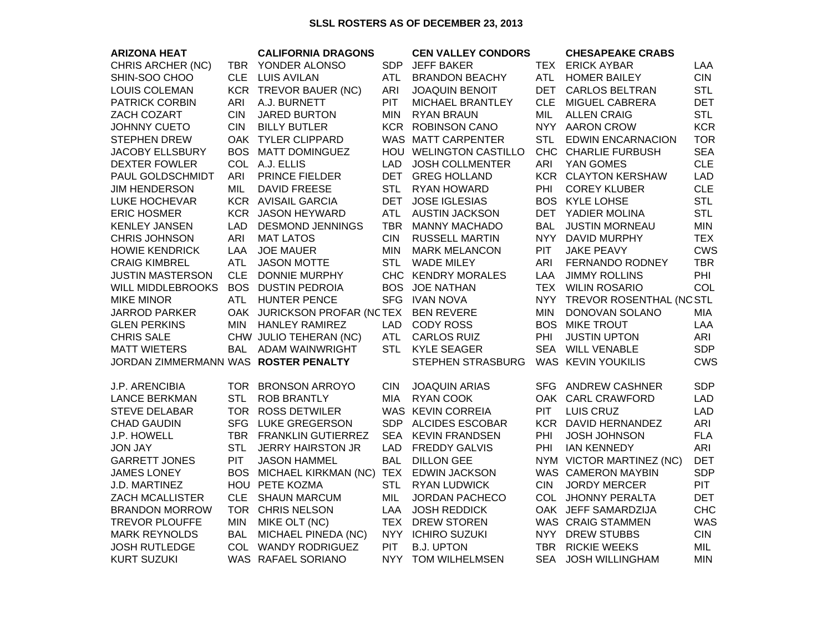## **SLSL ROSTERS AS OF DECEMBER 23, 2013**

| <b>ARIZONA HEAT</b>                  |            | <b>CALIFORNIA DRAGONS</b>              |            | <b>CEN VALLEY CONDORS</b> |            | <b>CHESAPEAKE CRABS</b>      |            |
|--------------------------------------|------------|----------------------------------------|------------|---------------------------|------------|------------------------------|------------|
| CHRIS ARCHER (NC)                    |            | TBR YONDER ALONSO                      | <b>SDP</b> | <b>JEFF BAKER</b>         |            | TEX ERICK AYBAR              | LAA        |
| SHIN-SOO CHOO                        | CLE.       | <b>LUIS AVILAN</b>                     | ATL.       | <b>BRANDON BEACHY</b>     | ATL        | <b>HOMER BAILEY</b>          | <b>CIN</b> |
| LOUIS COLEMAN                        |            | KCR TREVOR BAUER (NC)                  | ARI        | <b>JOAQUIN BENOIT</b>     | DET        | <b>CARLOS BELTRAN</b>        | <b>STL</b> |
| <b>PATRICK CORBIN</b>                | <b>ARI</b> | A.J. BURNETT                           | <b>PIT</b> | MICHAEL BRANTLEY          |            | CLE MIGUEL CABRERA           | <b>DET</b> |
| ZACH COZART                          | <b>CIN</b> | <b>JARED BURTON</b>                    | <b>MIN</b> | <b>RYAN BRAUN</b>         | MIL        | <b>ALLEN CRAIG</b>           | <b>STL</b> |
| JOHNNY CUETO                         | <b>CIN</b> | <b>BILLY BUTLER</b>                    |            | <b>KCR ROBINSON CANO</b>  |            | NYY AARON CROW               | <b>KCR</b> |
| <b>STEPHEN DREW</b>                  |            | OAK TYLER CLIPPARD                     |            | WAS MATT CARPENTER        | <b>STL</b> | <b>EDWIN ENCARNACION</b>     | <b>TOR</b> |
| <b>JACOBY ELLSBURY</b>               |            | BOS MATT DOMINGUEZ                     |            | HOU WELINGTON CASTILLO    |            | CHC CHARLIE FURBUSH          | <b>SEA</b> |
| <b>DEXTER FOWLER</b>                 |            | COL A.J. ELLIS                         | LAD        | <b>JOSH COLLMENTER</b>    | ARI        | YAN GOMES                    | <b>CLE</b> |
| PAUL GOLDSCHMIDT                     | <b>ARI</b> | PRINCE FIELDER                         |            | DET GREG HOLLAND          |            | <b>KCR CLAYTON KERSHAW</b>   | <b>LAD</b> |
| <b>JIM HENDERSON</b>                 | MIL        | <b>DAVID FREESE</b>                    | <b>STL</b> | RYAN HOWARD               | PHI        | <b>COREY KLUBER</b>          | <b>CLE</b> |
| LUKE HOCHEVAR                        |            | <b>KCR AVISAIL GARCIA</b>              | <b>DET</b> | <b>JOSE IGLESIAS</b>      |            | <b>BOS KYLE LOHSE</b>        | <b>STL</b> |
| <b>ERIC HOSMER</b>                   |            | KCR JASON HEYWARD                      | <b>ATL</b> | <b>AUSTIN JACKSON</b>     |            | DET YADIER MOLINA            | <b>STL</b> |
| <b>KENLEY JANSEN</b>                 | LAD        | <b>DESMOND JENNINGS</b>                | <b>TBR</b> | <b>MANNY MACHADO</b>      | <b>BAL</b> | <b>JUSTIN MORNEAU</b>        | <b>MIN</b> |
| <b>CHRIS JOHNSON</b>                 | ARI        | <b>MAT LATOS</b>                       | <b>CIN</b> | <b>RUSSELL MARTIN</b>     |            | NYY DAVID MURPHY             | <b>TEX</b> |
| <b>HOWIE KENDRICK</b>                | LAA        | <b>JOE MAUER</b>                       | <b>MIN</b> | <b>MARK MELANCON</b>      | <b>PIT</b> | <b>JAKE PEAVY</b>            | <b>CWS</b> |
| <b>CRAIG KIMBREL</b>                 | <b>ATL</b> | <b>JASON MOTTE</b>                     | <b>STL</b> | <b>WADE MILEY</b>         | ARI        | <b>FERNANDO RODNEY</b>       | <b>TBR</b> |
| <b>JUSTIN MASTERSON</b>              | <b>CLE</b> | <b>DONNIE MURPHY</b>                   |            | CHC KENDRY MORALES        | LAA        | <b>JIMMY ROLLINS</b>         | PHI        |
| <b>WILL MIDDLEBROOKS</b>             |            | <b>BOS DUSTIN PEDROIA</b>              |            | <b>BOS JOE NATHAN</b>     |            | TEX WILIN ROSARIO            | COL        |
| <b>MIKE MINOR</b>                    |            | ATL HUNTER PENCE                       |            | SFG IVAN NOVA             |            | NYY TREVOR ROSENTHAL (NC STL |            |
| <b>JARROD PARKER</b>                 |            | OAK JURICKSON PROFAR (NCTEX BEN REVERE |            |                           | <b>MIN</b> | DONOVAN SOLANO               | <b>MIA</b> |
| <b>GLEN PERKINS</b>                  | <b>MIN</b> | <b>HANLEY RAMIREZ</b>                  | LAD        | <b>CODY ROSS</b>          | <b>BOS</b> | <b>MIKE TROUT</b>            | LAA        |
| <b>CHRIS SALE</b>                    |            | CHW JULIO TEHERAN (NC)                 | <b>ATL</b> | <b>CARLOS RUIZ</b>        | PHI        | <b>JUSTIN UPTON</b>          | ARI        |
| <b>MATT WIETERS</b>                  |            | BAL ADAM WAINWRIGHT                    | <b>STL</b> | <b>KYLE SEAGER</b>        |            | SEA WILL VENABLE             | <b>SDP</b> |
| JORDAN ZIMMERMANN WAS ROSTER PENALTY |            |                                        |            | STEPHEN STRASBURG         |            | WAS KEVIN YOUKILIS           | <b>CWS</b> |
|                                      |            |                                        |            |                           |            |                              |            |
| J.P. ARENCIBIA                       |            | TOR BRONSON ARROYO                     | <b>CIN</b> | <b>JOAQUIN ARIAS</b>      |            | SFG ANDREW CASHNER           | <b>SDP</b> |
| <b>LANCE BERKMAN</b>                 | <b>STL</b> | <b>ROB BRANTLY</b>                     | MIA        | <b>RYAN COOK</b>          |            | OAK CARL CRAWFORD            | <b>LAD</b> |
| <b>STEVE DELABAR</b>                 |            | TOR ROSS DETWILER                      |            | WAS KEVIN CORREIA         | <b>PIT</b> | <b>LUIS CRUZ</b>             | <b>LAD</b> |
| <b>CHAD GAUDIN</b>                   |            | SFG LUKE GREGERSON                     |            | SDP ALCIDES ESCOBAR       |            | KCR DAVID HERNANDEZ          | ARI        |
| <b>J.P. HOWELL</b>                   |            | TBR FRANKLIN GUTIERREZ                 |            | SEA KEVIN FRANDSEN        | PHI        | <b>JOSH JOHNSON</b>          | <b>FLA</b> |
| <b>JON JAY</b>                       | <b>STL</b> | <b>JERRY HAIRSTON JR</b>               | <b>LAD</b> | <b>FREDDY GALVIS</b>      | PHI        | <b>IAN KENNEDY</b>           | ARI        |
| <b>GARRETT JONES</b>                 | <b>PIT</b> | <b>JASON HAMMEL</b>                    | <b>BAL</b> | <b>DILLON GEE</b>         |            | NYM VICTOR MARTINEZ (NC)     | <b>DET</b> |
| <b>JAMES LONEY</b>                   |            | BOS MICHAEL KIRKMAN (NC)               |            | TEX EDWIN JACKSON         |            | WAS CAMERON MAYBIN           | <b>SDP</b> |
| J.D. MARTINEZ                        |            | HOU PETE KOZMA                         | <b>STL</b> | <b>RYAN LUDWICK</b>       | <b>CIN</b> | <b>JORDY MERCER</b>          | <b>PIT</b> |
| <b>ZACH MCALLISTER</b>               | <b>CLE</b> | <b>SHAUN MARCUM</b>                    | MIL        | <b>JORDAN PACHECO</b>     |            | COL JHONNY PERALTA           | <b>DET</b> |
| <b>BRANDON MORROW</b>                |            | TOR CHRIS NELSON                       |            | LAA JOSH REDDICK          |            | OAK JEFF SAMARDZIJA          | <b>CHC</b> |
| <b>TREVOR PLOUFFE</b>                | <b>MIN</b> | MIKE OLT (NC)                          |            | TEX DREW STOREN           |            | WAS CRAIG STAMMEN            | <b>WAS</b> |
| <b>MARK REYNOLDS</b>                 | <b>BAL</b> | MICHAEL PINEDA (NC)                    |            | NYY ICHIRO SUZUKI         |            | NYY DREW STUBBS              | <b>CIN</b> |
| <b>JOSH RUTLEDGE</b>                 |            | COL WANDY RODRIGUEZ                    | <b>PIT</b> | <b>B.J. UPTON</b>         |            | TBR RICKIE WEEKS             | MIL        |
| <b>KURT SUZUKI</b>                   |            | WAS RAFAEL SORIANO                     |            | NYY TOM WILHELMSEN        | <b>SEA</b> | <b>JOSH WILLINGHAM</b>       | <b>MIN</b> |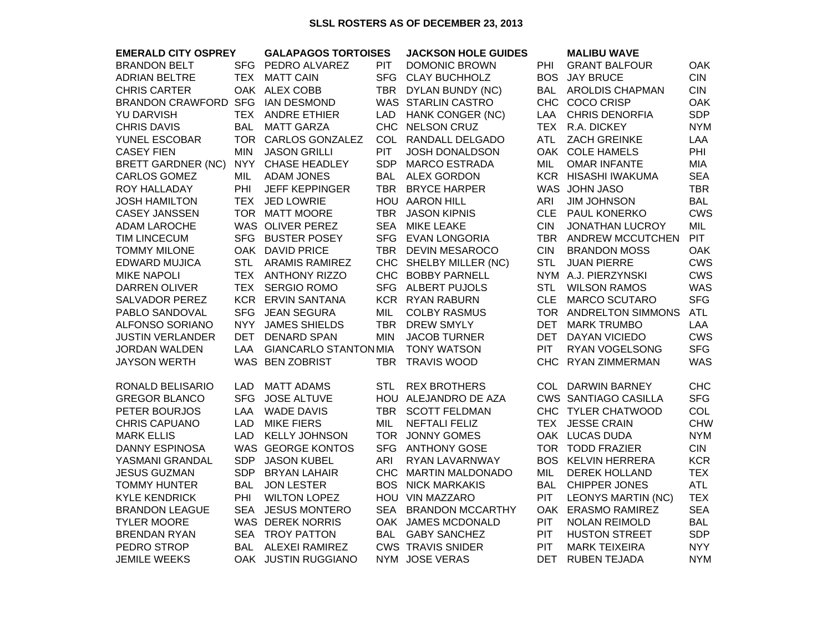## **SLSL ROSTERS AS OF DECEMBER 23, 2013**

| <b>EMERALD CITY OSPREY</b> |            | <b>GALAPAGOS TORTOISES</b>   |            | <b>JACKSON HOLE GUIDES</b> |            | <b>MALIBU WAVE</b>          |            |  |
|----------------------------|------------|------------------------------|------------|----------------------------|------------|-----------------------------|------------|--|
| <b>BRANDON BELT</b>        | <b>SFG</b> | PEDRO ALVAREZ                | <b>PIT</b> | <b>DOMONIC BROWN</b>       | PHI        | <b>GRANT BALFOUR</b>        | <b>OAK</b> |  |
| ADRIAN BELTRE              | <b>TEX</b> | <b>MATT CAIN</b>             | <b>SFG</b> | <b>CLAY BUCHHOLZ</b>       | <b>BOS</b> | <b>JAY BRUCE</b>            | <b>CIN</b> |  |
| <b>CHRIS CARTER</b>        |            | OAK ALEX COBB                | <b>TBR</b> | DYLAN BUNDY (NC)           | <b>BAL</b> | <b>AROLDIS CHAPMAN</b>      | <b>CIN</b> |  |
| BRANDON CRAWFORD SFG       |            | <b>IAN DESMOND</b>           |            | WAS STARLIN CASTRO         |            | CHC COCO CRISP              | <b>OAK</b> |  |
| YU DARVISH                 | <b>TEX</b> | <b>ANDRE ETHIER</b>          | <b>LAD</b> | HANK CONGER (NC)           | LAA        | <b>CHRIS DENORFIA</b>       | <b>SDP</b> |  |
| <b>CHRIS DAVIS</b>         | <b>BAL</b> | <b>MATT GARZA</b>            |            | CHC NELSON CRUZ            |            | TEX R.A. DICKEY             | <b>NYM</b> |  |
| YUNEL ESCOBAR              |            | TOR CARLOS GONZALEZ          | COL        | RANDALL DELGADO            | ATL        | <b>ZACH GREINKE</b>         | LAA        |  |
| <b>CASEY FIEN</b>          | <b>MIN</b> | <b>JASON GRILLI</b>          | <b>PIT</b> | JOSH DONALDSON             |            | OAK COLE HAMELS             | PHI        |  |
| <b>BRETT GARDNER (NC)</b>  | <b>NYY</b> | <b>CHASE HEADLEY</b>         | SDP        | <b>MARCO ESTRADA</b>       | MIL        | <b>OMAR INFANTE</b>         | <b>MIA</b> |  |
| CARLOS GOMEZ               | <b>MIL</b> | <b>ADAM JONES</b>            |            | BAL ALEX GORDON            |            | KCR HISASHI IWAKUMA         | <b>SEA</b> |  |
| ROY HALLADAY               | PHI        | <b>JEFF KEPPINGER</b>        |            | TBR BRYCE HARPER           |            | WAS JOHN JASO               | <b>TBR</b> |  |
| <b>JOSH HAMILTON</b>       | <b>TEX</b> | <b>JED LOWRIE</b>            |            | HOU AARON HILL             | ARI        | <b>JIM JOHNSON</b>          | <b>BAL</b> |  |
| <b>CASEY JANSSEN</b>       |            | TOR MATT MOORE               | <b>TBR</b> | <b>JASON KIPNIS</b>        | <b>CLE</b> | <b>PAUL KONERKO</b>         | <b>CWS</b> |  |
| <b>ADAM LAROCHE</b>        |            | WAS OLIVER PEREZ             | <b>SEA</b> | <b>MIKE LEAKE</b>          | <b>CIN</b> | <b>JONATHAN LUCROY</b>      | MIL        |  |
| <b>TIM LINCECUM</b>        |            | SFG BUSTER POSEY             |            | SFG EVAN LONGORIA          |            | TBR ANDREW MCCUTCHEN        | <b>PIT</b> |  |
| TOMMY MILONE               |            | OAK DAVID PRICE              | <b>TBR</b> | <b>DEVIN MESAROCO</b>      | <b>CIN</b> | <b>BRANDON MOSS</b>         | <b>OAK</b> |  |
| <b>EDWARD MUJICA</b>       | <b>STL</b> | <b>ARAMIS RAMIREZ</b>        |            | CHC SHELBY MILLER (NC)     | <b>STL</b> | <b>JUAN PIERRE</b>          | <b>CWS</b> |  |
| <b>MIKE NAPOLI</b>         |            | TEX ANTHONY RIZZO            |            | CHC BOBBY PARNELL          |            | NYM A.J. PIERZYNSKI         | <b>CWS</b> |  |
| <b>DARREN OLIVER</b>       |            | TEX SERGIO ROMO              |            | SFG ALBERT PUJOLS          | <b>STL</b> | <b>WILSON RAMOS</b>         | <b>WAS</b> |  |
| <b>SALVADOR PEREZ</b>      |            | KCR ERVIN SANTANA            |            | KCR RYAN RABURN            | <b>CLE</b> | <b>MARCO SCUTARO</b>        | <b>SFG</b> |  |
| PABLO SANDOVAL             | <b>SFG</b> | <b>JEAN SEGURA</b>           | MIL        | <b>COLBY RASMUS</b>        |            | TOR ANDRELTON SIMMONS       | <b>ATL</b> |  |
| <b>ALFONSO SORIANO</b>     | <b>NYY</b> | <b>JAMES SHIELDS</b>         | <b>TBR</b> | <b>DREW SMYLY</b>          | <b>DET</b> | <b>MARK TRUMBO</b>          | <b>LAA</b> |  |
| <b>JUSTIN VERLANDER</b>    | DET        | <b>DENARD SPAN</b>           | <b>MIN</b> | <b>JACOB TURNER</b>        | DET        | DAYAN VICIEDO               | <b>CWS</b> |  |
| <b>JORDAN WALDEN</b>       | LAA        | <b>GIANCARLO STANTON MIA</b> |            | <b>TONY WATSON</b>         | <b>PIT</b> | RYAN VOGELSONG              | <b>SFG</b> |  |
| <b>JAYSON WERTH</b>        |            | WAS BEN ZOBRIST              | TBR        | <b>TRAVIS WOOD</b>         | <b>CHC</b> | <b>RYAN ZIMMERMAN</b>       | <b>WAS</b> |  |
| RONALD BELISARIO           | <b>LAD</b> | <b>MATT ADAMS</b>            | <b>STL</b> | <b>REX BROTHERS</b>        |            | COL DARWIN BARNEY           | <b>CHC</b> |  |
| <b>GREGOR BLANCO</b>       | <b>SFG</b> | <b>JOSE ALTUVE</b>           |            | HOU ALEJANDRO DE AZA       |            | <b>CWS SANTIAGO CASILLA</b> | <b>SFG</b> |  |
| PETER BOURJOS              | LAA        | <b>WADE DAVIS</b>            |            | TBR SCOTT FELDMAN          |            | CHC TYLER CHATWOOD          | COL        |  |
| <b>CHRIS CAPUANO</b>       | <b>LAD</b> | <b>MIKE FIERS</b>            | <b>MIL</b> | <b>NEFTALI FELIZ</b>       | <b>TEX</b> | <b>JESSE CRAIN</b>          | <b>CHW</b> |  |
| <b>MARK ELLIS</b>          | <b>LAD</b> | <b>KELLY JOHNSON</b>         |            | TOR JONNY GOMES            |            | OAK LUCAS DUDA              | <b>NYM</b> |  |
| <b>DANNY ESPINOSA</b>      |            | WAS GEORGE KONTOS            | <b>SFG</b> | <b>ANTHONY GOSE</b>        |            | TOR TODD FRAZIER            | <b>CIN</b> |  |
| YASMANI GRANDAL            | <b>SDP</b> | <b>JASON KUBEL</b>           | ARI        | RYAN LAVARNWAY             |            | BOS KELVIN HERRERA          | <b>KCR</b> |  |
| <b>JESUS GUZMAN</b>        | SDP        | <b>BRYAN LAHAIR</b>          | CHC        | <b>MARTIN MALDONADO</b>    | <b>MIL</b> | <b>DEREK HOLLAND</b>        | <b>TEX</b> |  |
| <b>TOMMY HUNTER</b>        | <b>BAL</b> | <b>JON LESTER</b>            |            | <b>BOS NICK MARKAKIS</b>   | <b>BAL</b> | CHIPPER JONES               | <b>ATL</b> |  |
| <b>KYLE KENDRICK</b>       | PHI        | <b>WILTON LOPEZ</b>          |            | HOU VIN MAZZARO            | PIT        | <b>LEONYS MARTIN (NC)</b>   | <b>TEX</b> |  |
| <b>BRANDON LEAGUE</b>      |            | SEA JESUS MONTERO            | <b>SEA</b> | <b>BRANDON MCCARTHY</b>    |            | OAK ERASMO RAMIREZ          | <b>SEA</b> |  |
| <b>TYLER MOORE</b>         |            | <b>WAS DEREK NORRIS</b>      |            | OAK JAMES MCDONALD         | <b>PIT</b> | <b>NOLAN REIMOLD</b>        | <b>BAL</b> |  |
| <b>BRENDAN RYAN</b>        | SEA        | <b>TROY PATTON</b>           | BAL        | <b>GABY SANCHEZ</b>        | <b>PIT</b> | <b>HUSTON STREET</b>        | <b>SDP</b> |  |
| PEDRO STROP                | <b>BAL</b> | <b>ALEXEI RAMIREZ</b>        |            | <b>CWS TRAVIS SNIDER</b>   | <b>PIT</b> | <b>MARK TEIXEIRA</b>        | <b>NYY</b> |  |
| <b>JEMILE WEEKS</b>        |            | OAK JUSTIN RUGGIANO          |            | NYM JOSE VERAS             | <b>DET</b> | <b>RUBEN TEJADA</b>         | <b>NYM</b> |  |